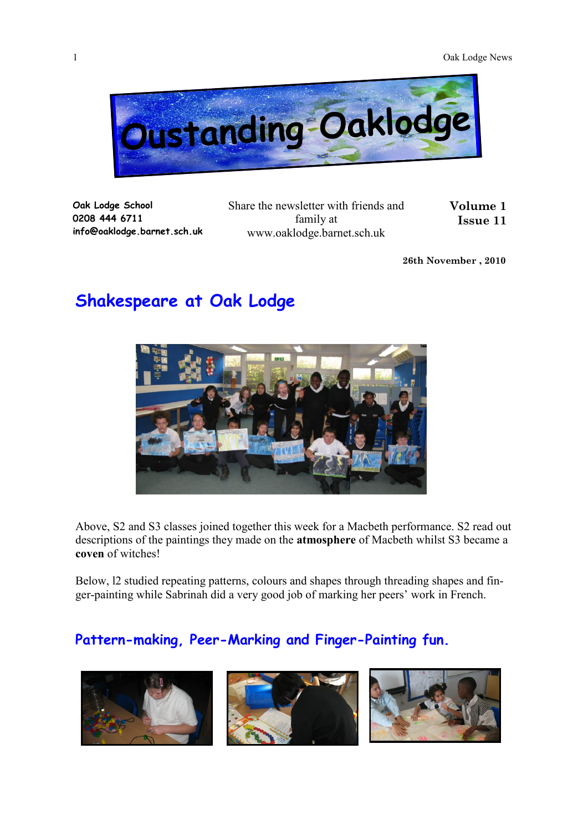

**Oak Lodge School 0208 444 6711 info@oaklodge.barnet.sch.uk** Share the newsletter with friends and family at www.oaklodge.barnet.sch.uk

**Volume 1 Issue 11** 

**26th November , 2010**

## **Shakespeare at Oak Lodge**



Above, S2 and S3 classes joined together this week for a Macbeth performance. S2 read out descriptions of the paintings they made on the **atmosphere** of Macbeth whilst S3 became a **coven** of witches!

Below, l2 studied repeating patterns, colours and shapes through threading shapes and finger-painting while Sabrinah did a very good job of marking her peers' work in French.

## **Pattern-making, Peer-Marking and Finger-Painting fun.**

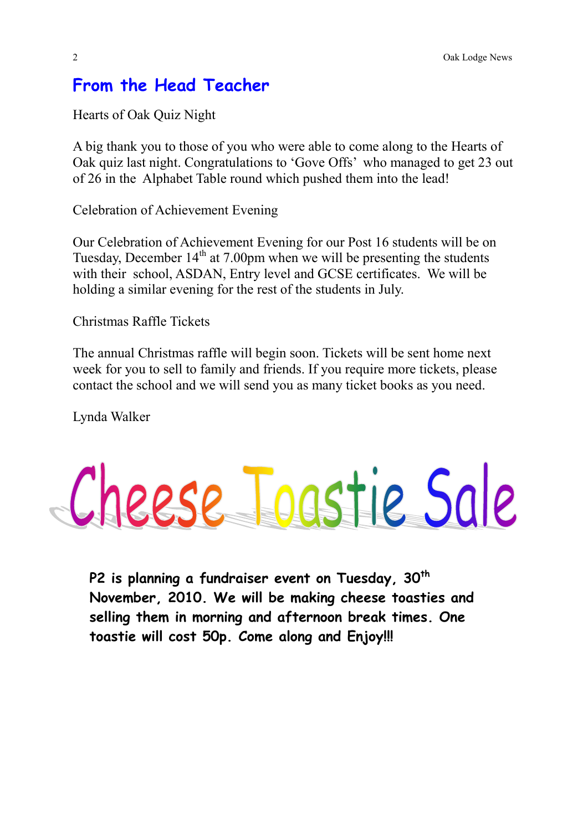## **From the Head Teacher**

Hearts of Oak Quiz Night

A big thank you to those of you who were able to come along to the Hearts of Oak quiz last night. Congratulations to 'Gove Offs' who managed to get 23 out of 26 in the Alphabet Table round which pushed them into the lead!

Celebration of Achievement Evening

Our Celebration of Achievement Evening for our Post 16 students will be on Tuesday, December  $14<sup>th</sup>$  at 7.00pm when we will be presenting the students with their school, ASDAN, Entry level and GCSE certificates. We will be holding a similar evening for the rest of the students in July.

Christmas Raffle Tickets

The annual Christmas raffle will begin soon. Tickets will be sent home next week for you to sell to family and friends. If you require more tickets, please contact the school and we will send you as many ticket books as you need.

Lynda Walker



**P2 is planning a fundraiser event on Tuesday, 30th November, 2010. We will be making cheese toasties and selling them in morning and afternoon break times. One toastie will cost 50p. Come along and Enjoy!!!**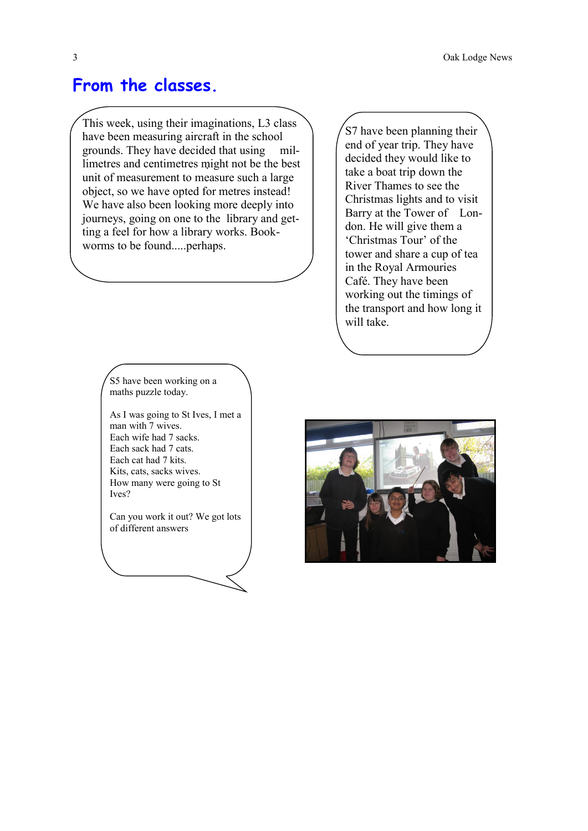## **From the classes.**

This week, using their imaginations, L3 class have been measuring aircraft in the school grounds. They have decided that using millimetres and centimetres might not be the best unit of measurement to measure such a large object, so we have opted for metres instead! We have also been looking more deeply into journeys, going on one to the library and getting a feel for how a library works. Bookworms to be found.....perhaps.

> S5 have been working on a maths puzzle today.

As I was going to St Ives, I met a man with 7 wives. Each wife had 7 sacks. Each sack had 7 cats. Each cat had 7 kits. Kits, cats, sacks wives. How many were going to St Ives?

Can you work it out? We got lots of different answers

S7 have been planning their end of year trip. They have decided they would like to take a boat trip down the River Thames to see the Christmas lights and to visit Barry at the Tower of London. He will give them a 'Christmas Tour' of the tower and share a cup of tea in the Royal Armouries Café. They have been working out the timings of the transport and how long it will take.